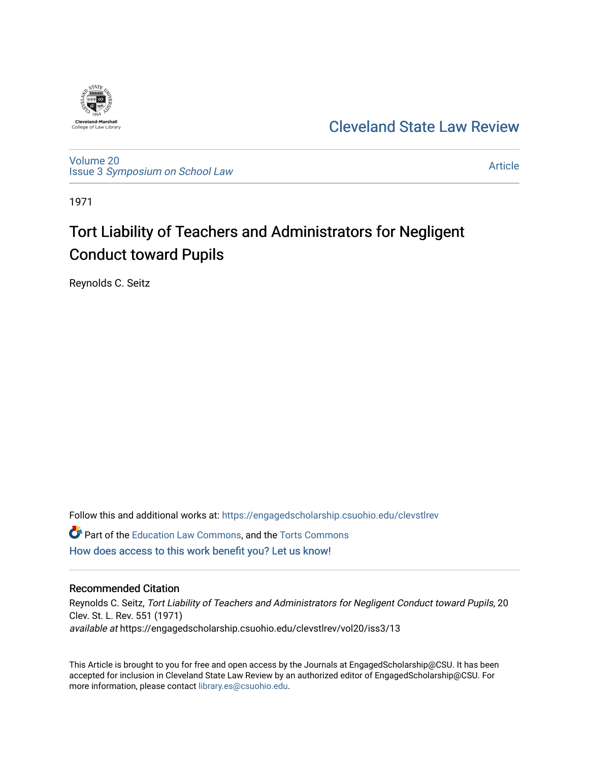

[Cleveland State Law Review](https://engagedscholarship.csuohio.edu/clevstlrev) 

[Volume 20](https://engagedscholarship.csuohio.edu/clevstlrev/vol20) Issue 3 [Symposium on School Law](https://engagedscholarship.csuohio.edu/clevstlrev/vol20/iss3) 

[Article](https://engagedscholarship.csuohio.edu/clevstlrev/vol20/iss3/13) 

1971

# Tort Liability of Teachers and Administrators for Negligent Conduct toward Pupils

Reynolds C. Seitz

Follow this and additional works at: [https://engagedscholarship.csuohio.edu/clevstlrev](https://engagedscholarship.csuohio.edu/clevstlrev?utm_source=engagedscholarship.csuohio.edu%2Fclevstlrev%2Fvol20%2Fiss3%2F13&utm_medium=PDF&utm_campaign=PDFCoverPages) **C** Part of the [Education Law Commons,](http://network.bepress.com/hgg/discipline/596?utm_source=engagedscholarship.csuohio.edu%2Fclevstlrev%2Fvol20%2Fiss3%2F13&utm_medium=PDF&utm_campaign=PDFCoverPages) and the Torts Commons

[How does access to this work benefit you? Let us know!](http://library.csuohio.edu/engaged/)

## Recommended Citation

Reynolds C. Seitz, Tort Liability of Teachers and Administrators for Negligent Conduct toward Pupils, 20 Clev. St. L. Rev. 551 (1971) available at https://engagedscholarship.csuohio.edu/clevstlrev/vol20/iss3/13

This Article is brought to you for free and open access by the Journals at EngagedScholarship@CSU. It has been accepted for inclusion in Cleveland State Law Review by an authorized editor of EngagedScholarship@CSU. For more information, please contact [library.es@csuohio.edu](mailto:library.es@csuohio.edu).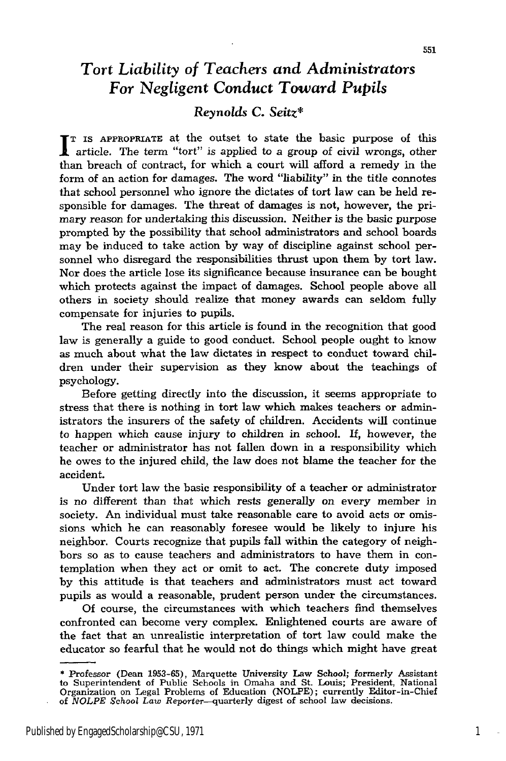# Tort *Liability of Teachers and Administrators For Negligent Conduct Toward Pupils*

### *Reynolds* **C.** *Seitz\**

**TT IS APPROPRIATE at the outset to state the basic purpose of this A** article. The term "tort" is applied to a group of civil wrongs, other than breach of contract, for which a court will afford a remedy in the form of an action for damages. The word "liability" in the title connotes that school personnel who ignore the dictates of tort law can be held responsible for damages. The threat of damages is not, however, the primary reason for undertaking this discussion. Neither is the basic purpose prompted by the possibility that school administrators and school boards may be induced to take action by way of discipline against school personnel who disregard the responsibilities thrust upon them by tort law. Nor does the article lose its significance because insurance can be bought which protects against the impact of damages. School people above all others in society should realize that money awards can seldom fully compensate for injuries to pupils.

The real reason for this article is found in the recognition that good law is generally a guide to good conduct. School people ought to know as much about what the law dictates in respect to conduct toward children under their supervision as they know about the teachings of psychology.

Before getting directly into the discussion, it seems appropriate to stress that there is nothing in tort law which makes teachers or administrators the insurers of the safety of children. Accidents will continue to happen which cause injury to children in school. If, however, the teacher or administrator has not fallen down in a responsibility which he owes to the injured child, the law does not blame the teacher for the accident.

Under tort law the basic responsibility of a teacher or administrator is no different than that which rests generally on every member in society. An individual must take reasonable care to avoid acts or omissions which he can reasonably foresee would be likely to injure his neighbor. Courts recognize that pupils fall within the category of neighbors so as to cause teachers and administrators to have them in contemplation when they act or omit to act. The concrete duty imposed by this attitude is that teachers and administrators must act toward pupils as would a reasonable, prudent person under the circumstances.

Of course, the circumstances with which teachers find themselves confronted can become very complex. Enlightened courts are aware of the fact that an unrealistic interpretation of tort law could make the educator so fearful that he would not do things which might have great

**<sup>\*</sup>** Professor (Dean **1953-65),** Marquette University Law School; formerly Assistant to Superintendent of Public Schools in Omaha and St. Louis; President, National Organization on Legal Problems of Education (NOLPE); currently Editor-in-Chief of *NOLPE* School *Law* Reporter-quarterly digest of school law decisions.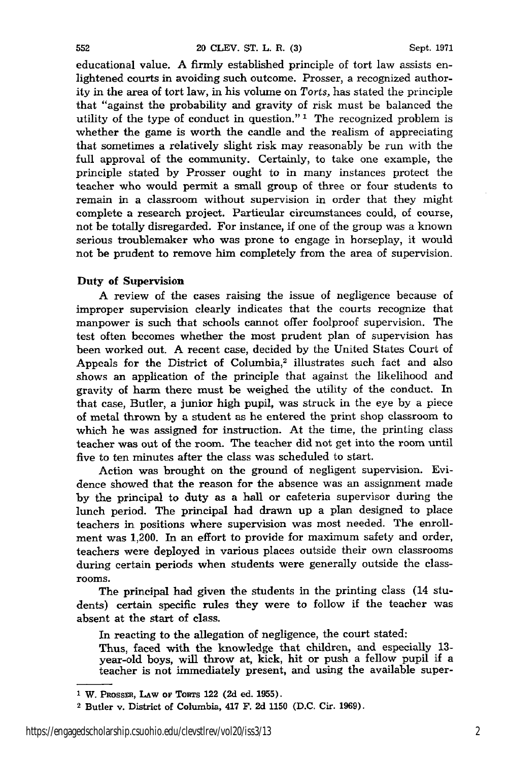educational value. A firmly established principle of tort law assists enlightened courts in avoiding such outcome. Prosser, a recognized authority in the area of tort law, in his volume on *Torts,* has stated the principle that "against the probability and gravity of risk must be balanced the utility of the type of conduct in question."<sup>1</sup> The recognized problem is whether the game is worth the candle and the realism of appreciating that sometimes a relatively slight risk may reasonably be run with the full approval of the community. Certainly, to take one example, the principle stated by Prosser ought to in many instances protect the teacher who would permit a small group of three or four students to remain in a classroom without supervision in order that they might complete a research project. Particular circumstances could, of course, not be totally disregarded. For instance, if one of the group was a known serious troublemaker who was prone to engage in horseplay, it would not be prudent to remove him completely from the area of supervision.

#### Duty of Supervision

A review of the cases raising the issue of negligence because of improper supervision clearly indicates that the courts recognize that manpower is such that schools cannot offer foolproof supervision. The test often becomes whether the most prudent plan of supervision has been worked out. A recent case, decided by the United States Court of Appeals for the District of Columbia,<sup>2</sup> illustrates such fact and also shows an application of the principle that against the likelihood and gravity of harm there must be weighed the utility of the conduct. In that case, Butler, a junior high pupil, was struck in the eye by a piece of metal thrown by a student as he entered the print shop classroom to which he was assigned for instruction. At the time, the printing class teacher was out of the room. The teacher did not get into the room until five to ten minutes after the class was scheduled to start.

Action was brought on the ground of negligent supervision. Evidence showed that the reason for the absence was an assignment made **by** the principal to duty as a hall or cafeteria supervisor during the lunch period. The principal had drawn up a plan designed to place teachers in positions where supervision was most needed. The enrollment was 1,200. In an effort to provide for maximum safety and order, teachers were deployed in various places outside their own classrooms during certain periods when students were generally outside the classrooms.

The principal had given the students in the printing class (14 students) certain specific rules they were to follow if the teacher was absent at the start of class.

In reacting to the allegation of negligence, the court stated:

Thus, faced with the knowledge that children, and especially **13** year-old boys, will throw at, kick, hit or push a fellow pupil if a teacher is not immediately present, and using the available super-

**<sup>&#</sup>x27; W.** PRossrR, **LAw or TORTS 122 (2d ed. 1955).**

<sup>2</sup> Butler **v.** District **of Columbia,** 417 **F. 2d 1150 (D.C. Cir. 1969).**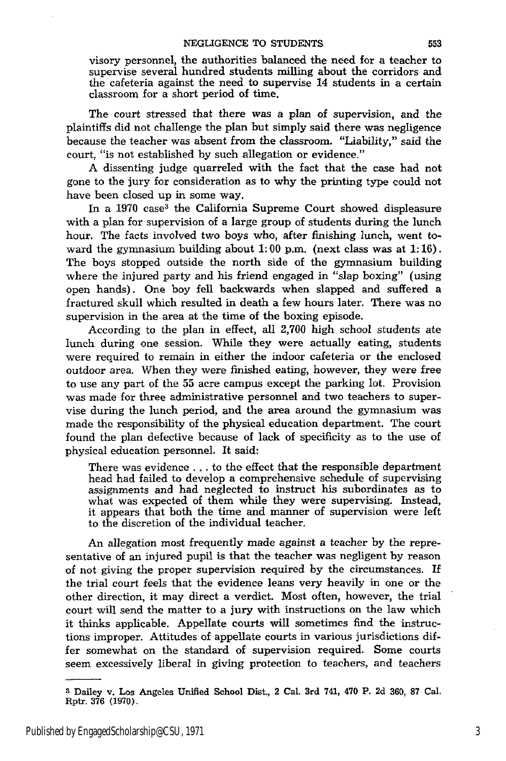visory personnel, the authorities balanced the need for a teacher to supervise several hundred students milling about the corridors and the cafeteria against the need to supervise 14 students in a certain classroom for a short period of time.

The court stressed that there was a plan of supervision, and the plaintiffs did not challenge the plan but simply said there was negligence because the teacher was absent from the classroom. "Liability," said the court, "is not established by such allegation or evidence."

A dissenting judge quarreled with the fact that the case had not gone to the jury for consideration as to why the printing type could not have been closed up in some way.

In a 1970 case<sup>3</sup> the California Supreme Court showed displeasure with a plan for supervision of a large group of students during the lunch hour. The facts involved two boys who, after finishing lunch, went toward the gymnasium building about 1:00 p.m. (next class was at 1:16). The boys stopped outside the north side of the gymnasium building where the injured party and his friend engaged in "slap boxing" (using open hands). One boy fell backwards when slapped and suffered a fractured skull which resulted in death a few hours later. There was no supervision in the area at the time of the boxing episode.

According to the plan in effect, all 2,700 high school students ate lunch during one session. While they were actually eating, students were required to remain in either the indoor cafeteria or the enclosed outdoor area. When they were finished eating, however, they were free to use any part of the 55 acre campus except the parking lot. Provision was made for three administrative personnel and two teachers to supervise during the lunch period, and the area around the gymnasium was made the responsibility of the physical education department. The court found the plan defective because of lack of specificity as to the use of physical education personnel. It said:

There was evidence **...** to the effect that the responsible department head had failed to develop a comprehensive schedule of supervising assignments and had neglected to instruct his subordinates as to what was expected of them while they were supervising. Instead, it appears that both the time and manner of supervision were left to the discretion of the individual teacher.

An allegation most frequently made against a teacher by the representative of an injured pupil is that the teacher was negligent by reason of not giving the proper supervision required by the circumstances. If the trial court feels that the evidence leans very heavily in one or the other direction, it may direct a verdict. Most often, however, the trial court will send the matter to a jury with instructions on the law which it thinks applicable. Appellate courts will sometimes find the instructions improper. Attitudes of appellate courts in various jurisdictions differ somewhat on the standard of supervision required. Some courts seem excessively liberal in giving protection to teachers, and teachers

**<sup>3</sup>** Dailey v. **Los** Angeles Unified School Dist., 2 Cal. 3rd 741, 470 P. **2d 360, 87** Cal. Rptr. **376 (1970).**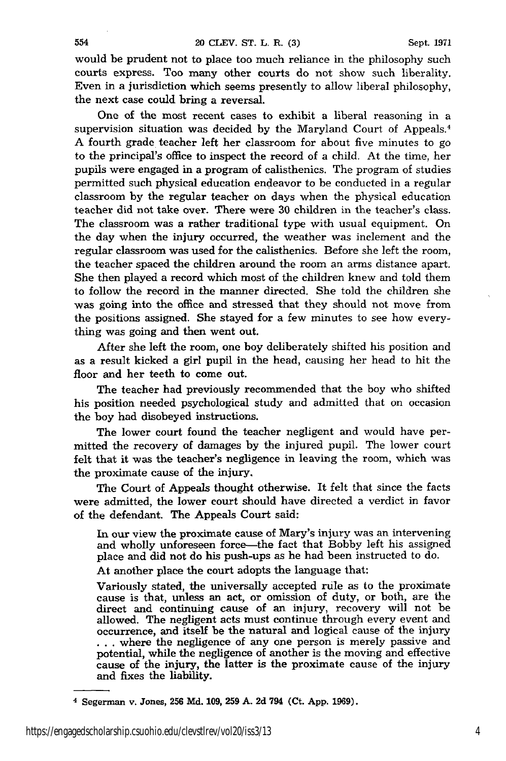would be prudent not to place too much reliance in the philosophy such courts express. Too many other courts do not show such liberality. Even in a jurisdiction which seems presently to allow liberal philosophy, the next case could bring a reversal.

One of the most recent cases to exhibit a liberal reasoning in a supervision situation was decided by the Maryland Court of Appeals.<sup>4</sup> A fourth grade teacher left her classroom for about five minutes to go to the principal's office to inspect the record of a child. At the time, her pupils were engaged in a program of calisthenics. The program of studies permitted such physical education endeavor to be conducted in a regular classroom by the regular teacher on days when the physical education teacher did not take over. There were 30 children in the teacher's class. The classroom was a rather traditional type with usual equipment. On the day when the injury occurred, the weather was inclement and the regular classroom was used for the calisthenics. Before she left the room, the teacher spaced the children around the room an arms distance apart. She then played a record which most of the children knew and told them to follow the record in the manner directed. She told the children she was going into the office and stressed that they should not move from the positions assigned. She stayed for a few minutes to see how everything was going and then went out.

After she left the room, one boy deliberately shifted his position and as a result kicked a girl pupil in the head, causing her head to hit the floor and her teeth to come out.

The teacher had previously recommended that the boy who shifted his position needed psychological study and admitted that on occasion the boy had disobeyed instructions.

The lower court found the teacher negligent and would have permitted the recovery of damages by the injured pupil. The lower court felt that it was the teacher's negligence in leaving the room, which was the proximate cause of the injury.

The Court of Appeals thought otherwise. It felt that since the facts were admitted, the lower court should have directed a verdict in favor of the defendant. The Appeals Court said:

In our view the proximate cause of Mary's injury was an intervening and wholly unforeseen force—the fact that Bobby left his assigned place and did not do his push-ups as he had been instructed to do.

At another place the court adopts the language that:

Variously stated, the universally accepted rule as to the proximate cause is that, unless an act, or omission of duty, or both, are the direct and continuing cause of an injury, recovery will not be allowed. The negligent acts must continue through every event and occurrence, and itself be the natural and logical cause of the injury ... where the negligence of any one person is merely passive and potential, while the negligence of another is the moving and effective cause of the injury, the latter is the proximate cause of the injury and fixes the liability.

<sup>4</sup> Segerman v. Jones, **256 Md. 109, 259 A. 2d 794** (Ct. **App. 1969).**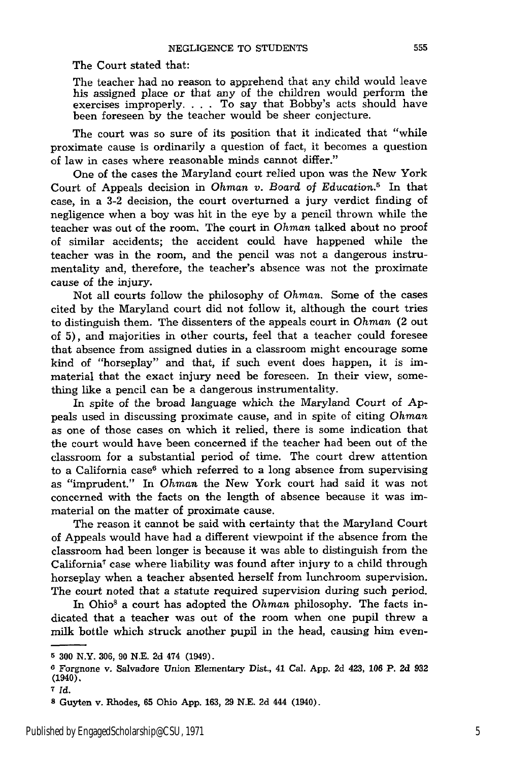The Court stated that:

The teacher had no reason to apprehend that any child would leave his assigned place or that any **of** the children would perform the exercises improperly. . **.** . To say that Bobby's acts should have been foreseen by the teacher would be sheer conjecture.

The court was so sure of its position that it indicated that "while proximate cause is ordinarily a question of fact, it becomes a question of law in cases where reasonable minds cannot differ."

One of the cases the Maryland court relied upon was the New York Court of Appeals decision in *Ohman v. Board of Education.5* In that case, in a 3-2 decision, the court overturned a jury verdict finding of negligence when a boy was hit in the eye by a pencil thrown while the teacher was out of the room. The court in *Ohman* talked about no proof of similar accidents; the accident could have happened while the teacher was in the room, and the pencil was not a dangerous instrumentality and, therefore, the teacher's absence was not the proximate cause of the injury.

Not all courts follow the philosophy of *Ohman.* Some of the cases cited by the Maryland court did not follow it, although the court tries to distinguish them. The dissenters of the appeals court in *Ohman* (2 out of 5), and majorities in other courts, feel that a teacher could foresee that absence from assigned duties in a classroom might encourage some kind of "horseplay" and that, if such event does happen, it is immaterial that the exact injury need be foreseen. In their view, something like a pencil can be a dangerous instrumentality.

In spite of the broad language which the Maryland Court of **Ap**peals used in discussing proximate cause, and in spite of citing *Ohman* as one of those cases on which it relied, there is some indication that the court would have been concerned if the teacher had been out of the classroom for a substantial period of time. The court drew attention to a California case<sup>6</sup> which referred to a long absence from supervising as "imprudent." In *Ohman* the New York court had said it was not concerned with the facts on the length of absence because it was immaterial on the matter of proximate cause.

The reason it cannot be said with certainty that the Maryland Court of Appeals would have had a different viewpoint if the absence from the classroom had been longer is because it was able to distinguish from the California7 case where liability was found after injury to a child through horseplay when a teacher absented herself from lunchroom supervision. The court noted that a statute required supervision during such period.

In Ohio' a court has adopted the *Ohman* philosophy. The facts indicated that a teacher was out of the room when one pupil threw a milk bottle which struck another pupil in the head, causing him even-

**<sup>5 300</sup>** N.Y. **306, 90 N.E. 2d** 474 (1949).

**o Forgnone v.** Salvadore **Union** Elementary Dist., **41** Cal. **App. 2d** 423, **106 P. 2d 932** (1940).

*<sup>7</sup> Id.*

**s** Guyten v. Rhodes, **65** Ohio **App. 163, 29 N.E. 2d** 444 (1940).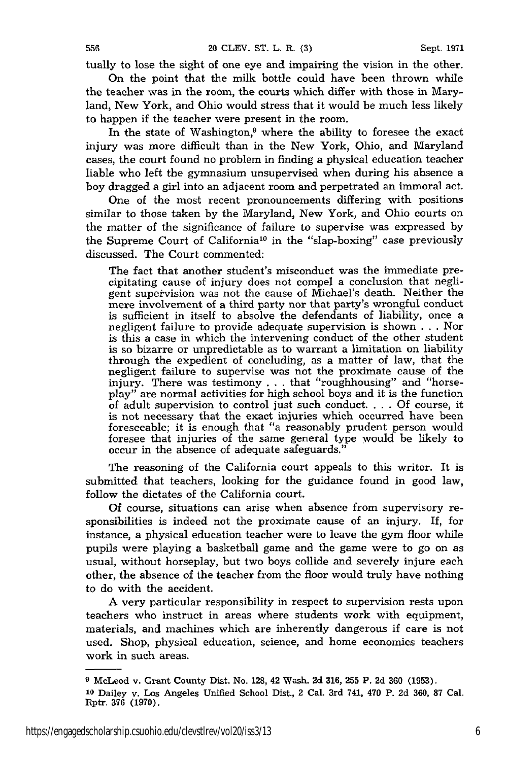tually to lose the sight of one eye and impairing the vision in the other.

On the point that the milk bottle could have been thrown while the teacher was in the room, the courts which differ with those in Maryland, New York, and Ohio would stress that it would be much less likely to happen if the teacher were present in the room.

In the state of Washington, $9$  where the ability to foresee the exact injury was more difficult than in the New York, Ohio, and Maryland cases, the court found no problem in finding a physical education teacher liable who left the gymnasium unsupervised when during his absence a boy dragged a girl into an adjacent room and perpetrated an immoral act.

One of the most recent pronouncements differing with positions similar to those taken by the Maryland, New York, and Ohio courts on the matter of the significance of failure to supervise was expressed by the Supreme Court of California<sup>10</sup> in the "slap-boxing" case previously discussed. The Court commented:

The fact that another student's misconduct was the immediate precipitating cause of injury does not compel a conclusion that negligent supervision was not the cause of Michael's death. Neither the mere involvement of a third party nor that party's wrongful conduct is sufficient in itself to absolve the defendants of liability, once a negligent failure to provide adequate supervision is shown . . . Nor is this a case in which the intervening conduct of the other student is so bizarre or unpredictable as to warrant a limitation on liability through the expedient of concluding, as a matter of law, that the negligent failure to supervise was not the proximate cause of the injury. There was testimony . . . that "roughhousing" and "horseplay" are normal activities for high school boys and it is the function of adult supervision to control just such conduct **....** Of course, it is not necessary that the exact injuries which occurred have been foreseeable; it is enough that "a reasonably prudent person would foresee that injuries of the same general type would be likely to occur in the absence of adequate safeguards."

The reasoning of the California court appeals to this writer. It is submitted that teachers, looking for the guidance found in good law, follow the dictates of the California court.

Of course, situations can arise when absence from supervisory responsibilities is indeed not the proximate cause of an injury. If, for instance, a physical education teacher were to leave the gym floor while pupils were playing a basketball game and the game were to go on as usual, without horseplay, but two boys collide and severely injure each other, the absence of the teacher from the floor would truly have nothing to do with the accident.

A very particular responsibility in respect to supervision rests upon teachers who instruct in areas where students work with equipment, materials, and machines which are inherently dangerous if care is not used. Shop, physical education, science, and home economics teachers work in such areas.

**<sup>9</sup>**McLeod **v.** Grant County **Dist. No. 128,** 42 Wash. **2d 316, 255** P. 2d **360 (1953).**

**<sup>10</sup>**Dailey v. Los Angeles Unified School Dist., 2 Cal. 3rd 741, 470 P. **2d 360, 87** Cal. Rptr. **376 (1970).**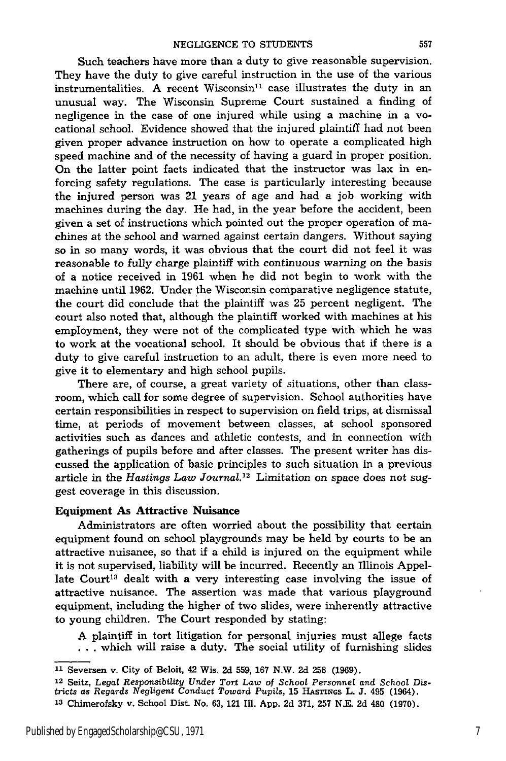Such teachers have more than a duty to give reasonable supervision. They have the duty to give careful instruction in the use of the various instrumentalities. A recent Wisconsin<sup>11</sup> case illustrates the duty in an unusual way. The Wisconsin Supreme Court sustained a finding of negligence in the case of one injured while using a machine in a vocational school. Evidence showed that the injured plaintiff had not been given proper advance instruction on how to operate a complicated high speed machine and of the necessity of having a guard in proper position. On the latter point facts indicated that the instructor was lax in enforcing safety regulations. The case is particularly interesting because the injured person was 21 years of age and had a job working with machines during the day. He had, in the year before the accident, been given a set of instructions which pointed out the proper operation of machines at the school and warned against certain dangers. Without saying so in so many words, it was obvious that the court did not feel it was reasonable to fully charge plaintiff with continuous warning on the basis of a notice received in 1961 when he did not begin to work with the machine until 1962. Under the Wisconsin comparative negligence statute, the court did conclude that the plaintiff was 25 percent negligent. The court also noted that, although the plaintiff worked with machines at his employment, they were not of the complicated type with which he was to work at the vocational school. It should be obvious that if there is a duty to give careful instruction to an adult, there is even more need to give it to elementary and high school pupils.

There are, of course, a great variety of situations, other than classroom, which call for some degree of supervision. School authorities have certain responsibilities in respect to supervision on field trips, at dismissal time, at periods of movement between classes, at school sponsored activities such as dances and athletic contests, and in connection with gatherings of pupils before and after classes. The present writer has discussed the application of basic principles to such situation in a previous article in the *Hastings Law Journal.12* Limitation on space does not suggest coverage in this discussion.

#### Equipment As Attractive Nuisance

Administrators are often worried about the possibility that certain equipment found on school playgrounds may be held by courts to be an attractive nuisance, so that if a child is injured on the equipment while it is not supervised, liability will be incurred. Recently an Illinois Appellate Court<sup>13</sup> dealt with a very interesting case involving the issue of attractive nuisance. The assertion was made that various playground equipment, including the higher of two slides, were inherently attractive to young children. The Court responded by stating:

A plaintiff in tort litigation for personal injuries must allege facts **. . .** which will raise a duty. The social utility of furnishing slides

**12** Seitz, *Legal Responsibility* Under *Tort Law of School Personnel and* School *Districts as Regards Negligent Conduct Toward Pupils,* **15 HASTIXGS** L. **J.** 495 (1964). **<sup>13</sup>**Chimerofsky v. School Dist. No. **63,** 121 Ill. App. 2d 371, 257 N.E. 2d 480 (1970).

**<sup>11</sup>**Seversen v. City of Beloit, 42 Wis. **2d 559, 167** N.W. **2d 258 (1969).**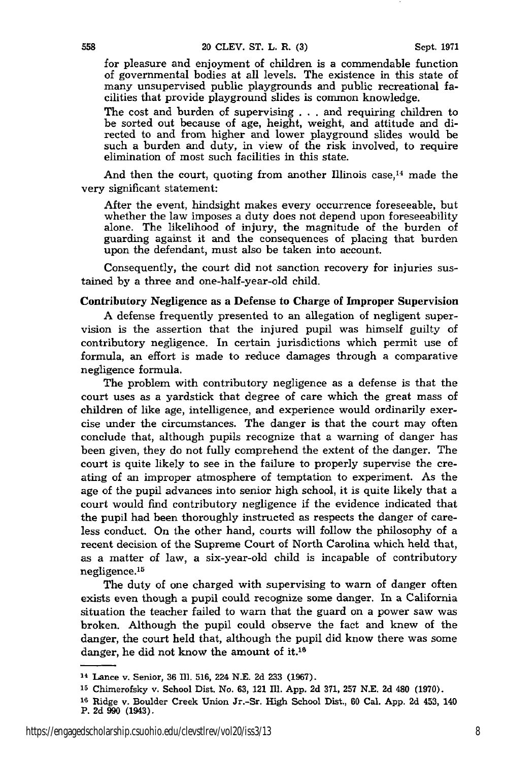for pleasure and enjoyment of children is a commendable function of governmental bodies at all levels. The existence in this state of many unsupervised public playgrounds and public recreational facilities that provide playground slides is common knowledge.

The cost and burden of supervising . . . and requiring children to be sorted out because of age, height, weight, and attitude and directed to and from higher and lower playground slides would be such a burden and duty, in view of the risk involved, to require elimination of most such facilities in this state.

And then the court, quoting from another Illinois case,<sup>14</sup> made the very significant statement:

After the event, hindsight makes every occurrence foreseeable, but whether the law imposes a duty does not depend upon foreseeability alone. The likelihood of injury, the magnitude of the burden of guarding against it and the consequences of placing that burden upon the defendant, must also be taken into account.

Consequently, the court did not sanction recovery for injuries sustained by a three and one-half-year-old child.

#### Contributory Negligence as a Defense to Charge of Improper Supervision

**A** defense frequently presented to an allegation of negligent supervision is the assertion that the injured pupil was himself guilty of contributory negligence. In certain jurisdictions which permit use of formula, an effort is made to reduce damages through a comparative negligence formula.

The problem with contributory negligence as a defense is that the court uses as a yardstick that degree of care which the great mass of children of like age, intelligence, and experience would ordinarily exercise under the circumstances. The danger is that the court may often conclude that, although pupils recognize that a warning of danger has been given, they do not fully comprehend the extent of the danger. The court is quite likely to see in the failure to properly supervise the creating of an improper atmosphere of temptation to experiment. As the age of the pupil advances into senior high school, it is quite likely that a court would find contributory negligence if the evidence indicated that the pupil had been thoroughly instructed as respects the danger of careless conduct. On the other hand, courts will follow the philosophy of a recent decision of the Supreme Court of North Carolina which held that, as a matter of law, a six-year-old child is incapable of contributory negligence.<sup>15</sup>

The duty of one charged with supervising to warn of danger often exists even though a pupil could recognize some danger. In a California situation the teacher failed to warn that the guard on a power saw was broken. Although the pupil could observe the fact and knew of the danger, the court held that, although the pupil did know there was some danger, he did not know the amount of it.<sup>16</sup>

<sup>14</sup> Lance v. Senior, **36 fI1. 516,** 224 **N.E. 2d 233 (1967).**

**<sup>15</sup>**Chimerofsky v. School Dist. No. **63,** 121 Ill. App. 2d 371, 257 N.E. 2d 480 (1970).

**<sup>16</sup>**Ridge v. Boulder Creek Union Jr.-Sr. High School Dist., **60** Cal. App. **Zd** 453, 140 **P. 2d 990 (1943).**